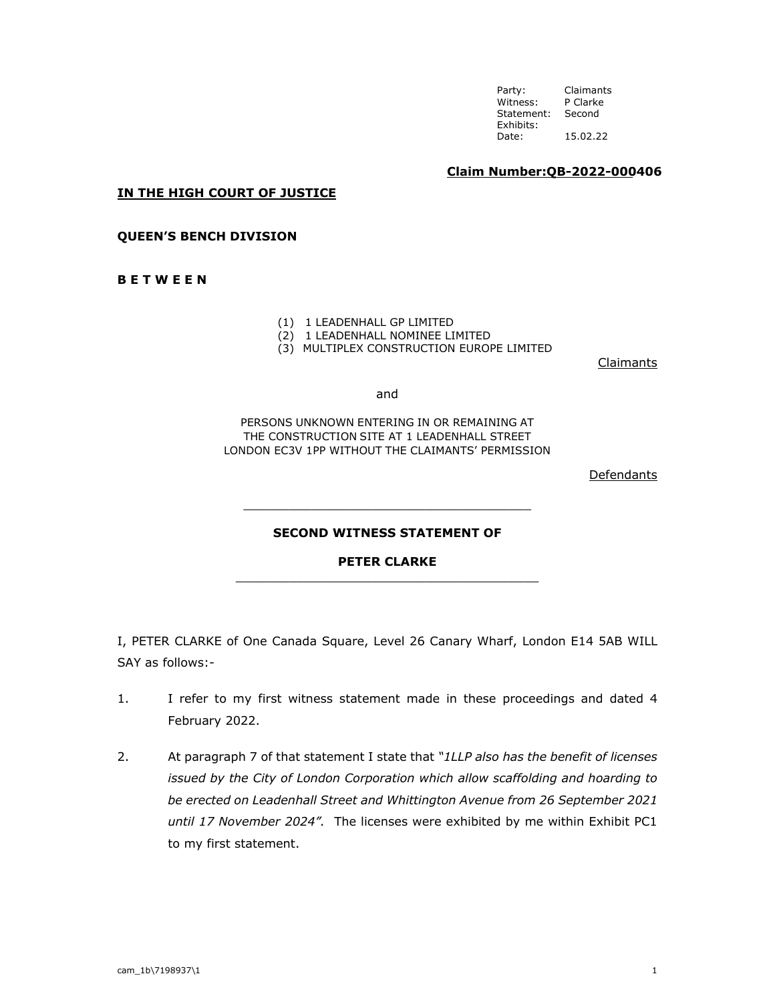**Claim Number:QB-2022-000406**

**IN THE HIGH COURT OF JUSTICE** 

**QUEEN'S BENCH DIVISION** 

**B E T W E E N** 

- (1) 1 LEADENHALL GP LIMITED
- (2) 1 LEADENHALL NOMINEE LIMITED
- (3) MULTIPLEX CONSTRUCTION EUROPE LIMITED

**Claimants** 

and

PERSONS UNKNOWN ENTERING IN OR REMAINING AT THE CONSTRUCTION SITE AT 1 LEADENHALL STREET LONDON EC3V 1PP WITHOUT THE CLAIMANTS' PERMISSION

Defendants

## **SECOND WITNESS STATEMENT OF**

\_\_\_\_\_\_\_\_\_\_\_\_\_\_\_\_\_\_\_\_\_\_\_\_\_\_\_\_\_\_\_\_\_\_\_\_\_\_

**PETER CLARKE**  \_\_\_\_\_\_\_\_\_\_\_\_\_\_\_\_\_\_\_\_\_\_\_\_\_\_\_\_\_\_\_\_\_\_\_\_\_\_\_\_

I, PETER CLARKE of One Canada Square, Level 26 Canary Wharf, London E14 5AB WILL SAY as follows:-

- 1. I refer to my first witness statement made in these proceedings and dated 4 February 2022.
- 2. At paragraph 7 of that statement I state that *"1LLP also has the benefit of licenses issued by the City of London Corporation which allow scaffolding and hoarding to be erected on Leadenhall Street and Whittington Avenue from 26 September 2021 until 17 November 2024".* The licenses were exhibited by me within Exhibit PC1 to my first statement.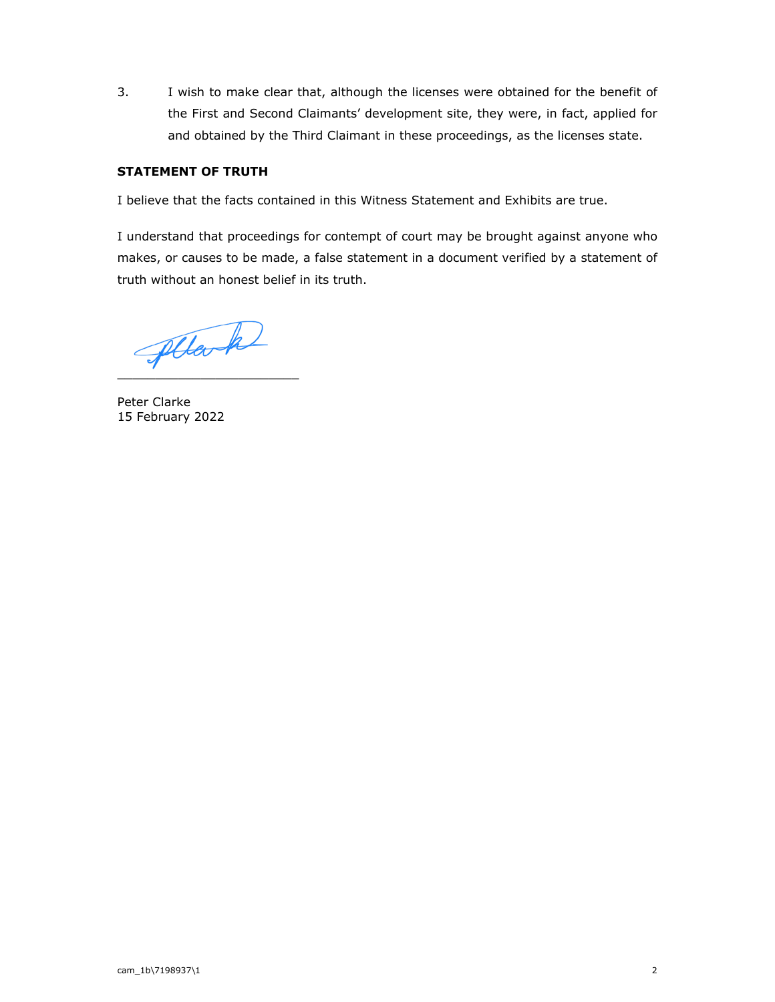3. I wish to make clear that, although the licenses were obtained for the benefit of the First and Second Claimants' development site, they were, in fact, applied for and obtained by the Third Claimant in these proceedings, as the licenses state.

## **STATEMENT OF TRUTH**

I believe that the facts contained in this Witness Statement and Exhibits are true.

I understand that proceedings for contempt of court may be brought against anyone who makes, or causes to be made, a false statement in a document verified by a statement of truth without an honest belief in its truth.

pllark

Peter Clarke 15 February 2022